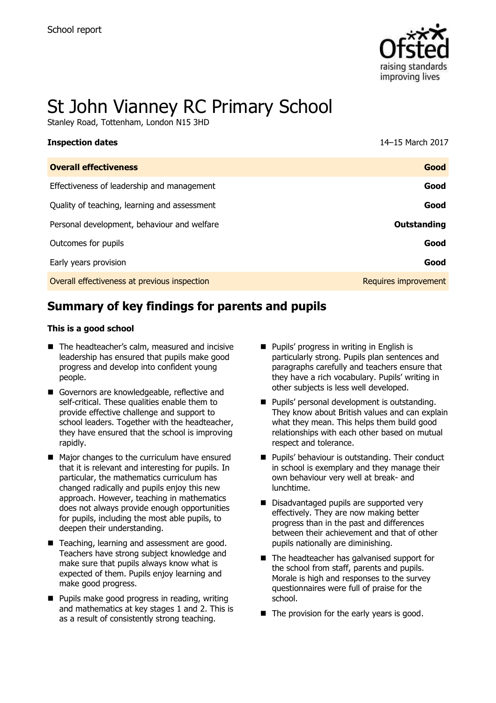

# St John Vianney RC Primary School

Stanley Road, Tottenham, London N15 3HD

| <b>Inspection dates</b>                      | 14-15 March 2017     |
|----------------------------------------------|----------------------|
| <b>Overall effectiveness</b>                 | Good                 |
| Effectiveness of leadership and management   | Good                 |
| Quality of teaching, learning and assessment | Good                 |
| Personal development, behaviour and welfare  | <b>Outstanding</b>   |
| Outcomes for pupils                          | Good                 |
| Early years provision                        | Good                 |
| Overall effectiveness at previous inspection | Requires improvement |

# **Summary of key findings for parents and pupils**

### **This is a good school**

- The headteacher's calm, measured and incisive leadership has ensured that pupils make good progress and develop into confident young people.
- Governors are knowledgeable, reflective and self-critical. These qualities enable them to provide effective challenge and support to school leaders. Together with the headteacher, they have ensured that the school is improving rapidly.
- Major changes to the curriculum have ensured that it is relevant and interesting for pupils. In particular, the mathematics curriculum has changed radically and pupils enjoy this new approach. However, teaching in mathematics does not always provide enough opportunities for pupils, including the most able pupils, to deepen their understanding.
- Teaching, learning and assessment are good. Teachers have strong subject knowledge and make sure that pupils always know what is expected of them. Pupils enjoy learning and make good progress.
- $\blacksquare$  Pupils make good progress in reading, writing and mathematics at key stages 1 and 2. This is as a result of consistently strong teaching.
- **Pupils' progress in writing in English is** particularly strong. Pupils plan sentences and paragraphs carefully and teachers ensure that they have a rich vocabulary. Pupils' writing in other subjects is less well developed.
- **Pupils' personal development is outstanding.** They know about British values and can explain what they mean. This helps them build good relationships with each other based on mutual respect and tolerance.
- **Pupils' behaviour is outstanding. Their conduct** in school is exemplary and they manage their own behaviour very well at break- and lunchtime.
- Disadvantaged pupils are supported very effectively. They are now making better progress than in the past and differences between their achievement and that of other pupils nationally are diminishing.
- The headteacher has galvanised support for the school from staff, parents and pupils. Morale is high and responses to the survey questionnaires were full of praise for the school.
- $\blacksquare$  The provision for the early years is good.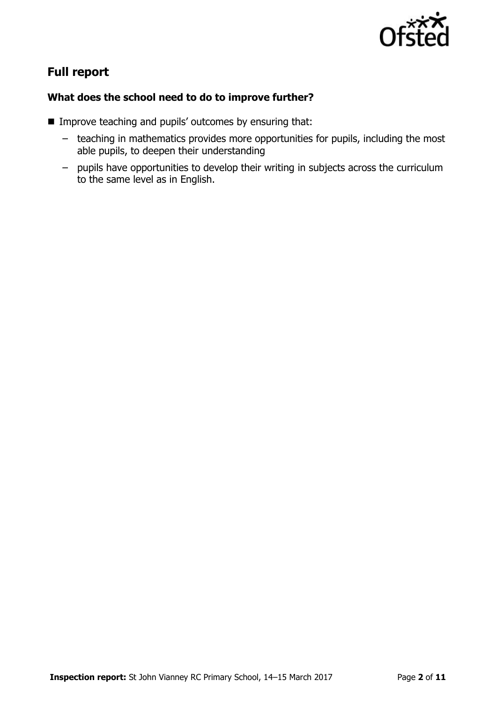

# **Full report**

### **What does the school need to do to improve further?**

- **IMPROVE teaching and pupils' outcomes by ensuring that:** 
	- teaching in mathematics provides more opportunities for pupils, including the most able pupils, to deepen their understanding
	- pupils have opportunities to develop their writing in subjects across the curriculum to the same level as in English.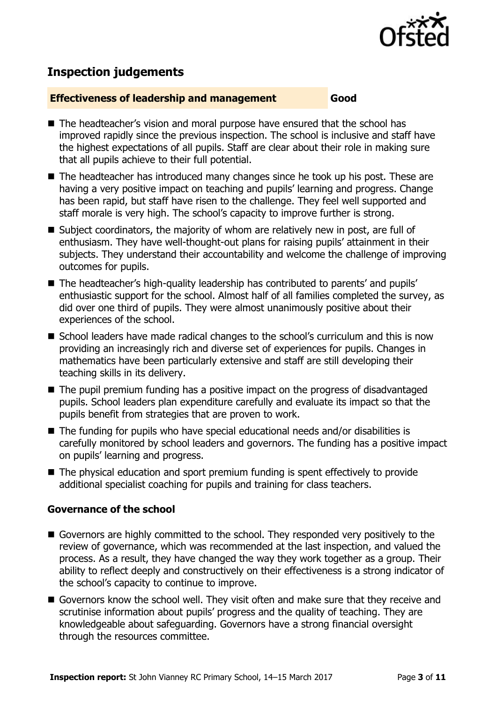

## **Inspection judgements**

### **Effectiveness of leadership and management Good**

- The headteacher's vision and moral purpose have ensured that the school has improved rapidly since the previous inspection. The school is inclusive and staff have the highest expectations of all pupils. Staff are clear about their role in making sure that all pupils achieve to their full potential.
- The headteacher has introduced many changes since he took up his post. These are having a very positive impact on teaching and pupils' learning and progress. Change has been rapid, but staff have risen to the challenge. They feel well supported and staff morale is very high. The school's capacity to improve further is strong.
- Subject coordinators, the majority of whom are relatively new in post, are full of enthusiasm. They have well-thought-out plans for raising pupils' attainment in their subjects. They understand their accountability and welcome the challenge of improving outcomes for pupils.
- The headteacher's high-quality leadership has contributed to parents' and pupils' enthusiastic support for the school. Almost half of all families completed the survey, as did over one third of pupils. They were almost unanimously positive about their experiences of the school.
- School leaders have made radical changes to the school's curriculum and this is now providing an increasingly rich and diverse set of experiences for pupils. Changes in mathematics have been particularly extensive and staff are still developing their teaching skills in its delivery.
- The pupil premium funding has a positive impact on the progress of disadvantaged pupils. School leaders plan expenditure carefully and evaluate its impact so that the pupils benefit from strategies that are proven to work.
- The funding for pupils who have special educational needs and/or disabilities is carefully monitored by school leaders and governors. The funding has a positive impact on pupils' learning and progress.
- The physical education and sport premium funding is spent effectively to provide additional specialist coaching for pupils and training for class teachers.

### **Governance of the school**

- Governors are highly committed to the school. They responded very positively to the review of governance, which was recommended at the last inspection, and valued the process. As a result, they have changed the way they work together as a group. Their ability to reflect deeply and constructively on their effectiveness is a strong indicator of the school's capacity to continue to improve.
- Governors know the school well. They visit often and make sure that they receive and scrutinise information about pupils' progress and the quality of teaching. They are knowledgeable about safeguarding. Governors have a strong financial oversight through the resources committee.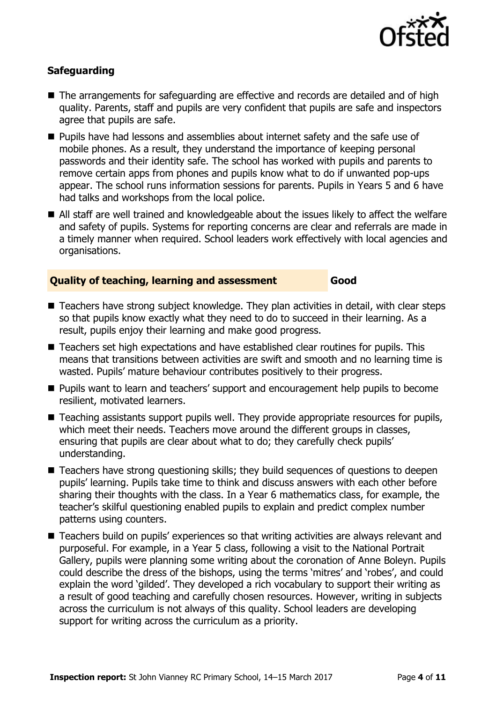

### **Safeguarding**

- The arrangements for safeguarding are effective and records are detailed and of high quality. Parents, staff and pupils are very confident that pupils are safe and inspectors agree that pupils are safe.
- **Pupils have had lessons and assemblies about internet safety and the safe use of** mobile phones. As a result, they understand the importance of keeping personal passwords and their identity safe. The school has worked with pupils and parents to remove certain apps from phones and pupils know what to do if unwanted pop-ups appear. The school runs information sessions for parents. Pupils in Years 5 and 6 have had talks and workshops from the local police.
- All staff are well trained and knowledgeable about the issues likely to affect the welfare and safety of pupils. Systems for reporting concerns are clear and referrals are made in a timely manner when required. School leaders work effectively with local agencies and organisations.

### **Quality of teaching, learning and assessment Good**

- Teachers have strong subject knowledge. They plan activities in detail, with clear steps so that pupils know exactly what they need to do to succeed in their learning. As a result, pupils enjoy their learning and make good progress.
- Teachers set high expectations and have established clear routines for pupils. This means that transitions between activities are swift and smooth and no learning time is wasted. Pupils' mature behaviour contributes positively to their progress.
- **Pupils want to learn and teachers' support and encouragement help pupils to become** resilient, motivated learners.
- Teaching assistants support pupils well. They provide appropriate resources for pupils, which meet their needs. Teachers move around the different groups in classes, ensuring that pupils are clear about what to do; they carefully check pupils' understanding.
- Teachers have strong questioning skills; they build sequences of questions to deepen pupils' learning. Pupils take time to think and discuss answers with each other before sharing their thoughts with the class. In a Year 6 mathematics class, for example, the teacher's skilful questioning enabled pupils to explain and predict complex number patterns using counters.
- Teachers build on pupils' experiences so that writing activities are always relevant and purposeful. For example, in a Year 5 class, following a visit to the National Portrait Gallery, pupils were planning some writing about the coronation of Anne Boleyn. Pupils could describe the dress of the bishops, using the terms 'mitres' and 'robes', and could explain the word 'gilded'. They developed a rich vocabulary to support their writing as a result of good teaching and carefully chosen resources. However, writing in subjects across the curriculum is not always of this quality. School leaders are developing support for writing across the curriculum as a priority.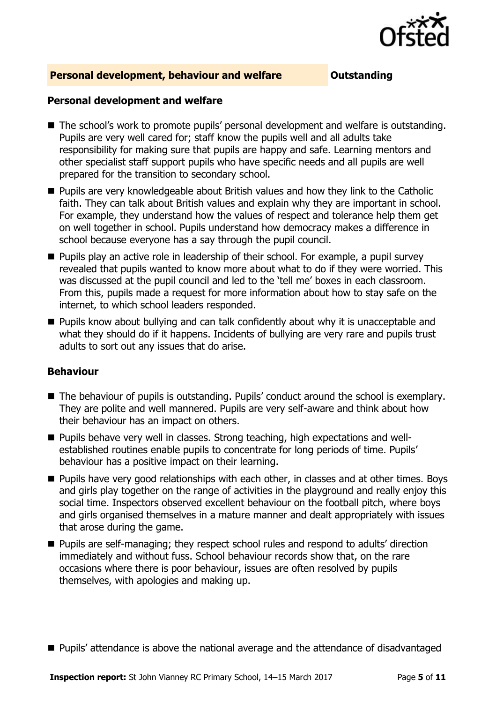

### **Personal development, behaviour and welfare <b>COUTS** Outstanding

### **Personal development and welfare**

- The school's work to promote pupils' personal development and welfare is outstanding. Pupils are very well cared for; staff know the pupils well and all adults take responsibility for making sure that pupils are happy and safe. Learning mentors and other specialist staff support pupils who have specific needs and all pupils are well prepared for the transition to secondary school.
- **Pupils are very knowledgeable about British values and how they link to the Catholic** faith. They can talk about British values and explain why they are important in school. For example, they understand how the values of respect and tolerance help them get on well together in school. Pupils understand how democracy makes a difference in school because everyone has a say through the pupil council.
- **Pupils play an active role in leadership of their school. For example, a pupil survey** revealed that pupils wanted to know more about what to do if they were worried. This was discussed at the pupil council and led to the 'tell me' boxes in each classroom. From this, pupils made a request for more information about how to stay safe on the internet, to which school leaders responded.
- **Pupils know about bullying and can talk confidently about why it is unacceptable and** what they should do if it happens. Incidents of bullying are very rare and pupils trust adults to sort out any issues that do arise.

### **Behaviour**

- The behaviour of pupils is outstanding. Pupils' conduct around the school is exemplary. They are polite and well mannered. Pupils are very self-aware and think about how their behaviour has an impact on others.
- Pupils behave very well in classes. Strong teaching, high expectations and wellestablished routines enable pupils to concentrate for long periods of time. Pupils' behaviour has a positive impact on their learning.
- **Pupils have very good relationships with each other, in classes and at other times. Boys** and girls play together on the range of activities in the playground and really enjoy this social time. Inspectors observed excellent behaviour on the football pitch, where boys and girls organised themselves in a mature manner and dealt appropriately with issues that arose during the game.
- Pupils are self-managing; they respect school rules and respond to adults' direction immediately and without fuss. School behaviour records show that, on the rare occasions where there is poor behaviour, issues are often resolved by pupils themselves, with apologies and making up.
- Pupils' attendance is above the national average and the attendance of disadvantaged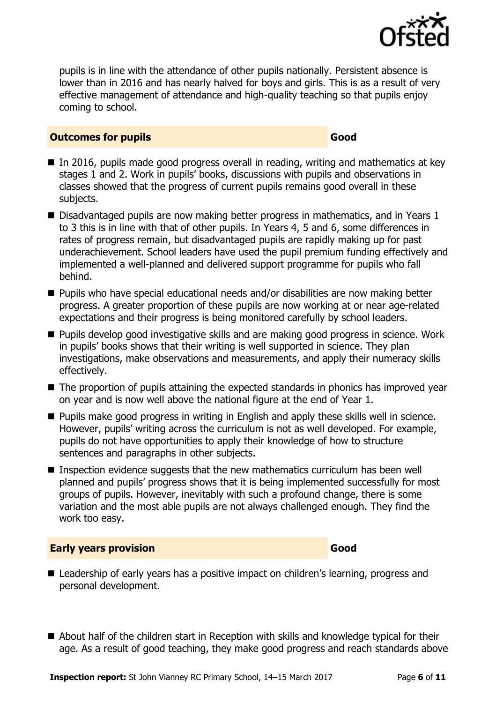

pupils is in line with the attendance of other pupils nationally. Persistent absence is lower than in 2016 and has nearly halved for boys and girls. This is as a result of very effective management of attendance and high-quality teaching so that pupils enjoy coming to school.

### **Outcomes for pupils Good Good**

- In 2016, pupils made good progress overall in reading, writing and mathematics at key stages 1 and 2. Work in pupils' books, discussions with pupils and observations in classes showed that the progress of current pupils remains good overall in these subjects.
- Disadvantaged pupils are now making better progress in mathematics, and in Years 1 to 3 this is in line with that of other pupils. In Years 4, 5 and 6, some differences in rates of progress remain, but disadvantaged pupils are rapidly making up for past underachievement. School leaders have used the pupil premium funding effectively and implemented a well-planned and delivered support programme for pupils who fall behind.
- Pupils who have special educational needs and/or disabilities are now making better progress. A greater proportion of these pupils are now working at or near age-related expectations and their progress is being monitored carefully by school leaders.
- **Pupils develop good investigative skills and are making good progress in science. Work** in pupils' books shows that their writing is well supported in science. They plan investigations, make observations and measurements, and apply their numeracy skills effectively.
- The proportion of pupils attaining the expected standards in phonics has improved year on year and is now well above the national figure at the end of Year 1.
- **Pupils make good progress in writing in English and apply these skills well in science.** However, pupils' writing across the curriculum is not as well developed. For example, pupils do not have opportunities to apply their knowledge of how to structure sentences and paragraphs in other subjects.
- Inspection evidence suggests that the new mathematics curriculum has been well planned and pupils' progress shows that it is being implemented successfully for most groups of pupils. However, inevitably with such a profound change, there is some variation and the most able pupils are not always challenged enough. They find the work too easy.

### **Early years provision Good Good**

- Leadership of early years has a positive impact on children's learning, progress and personal development.
- About half of the children start in Reception with skills and knowledge typical for their age. As a result of good teaching, they make good progress and reach standards above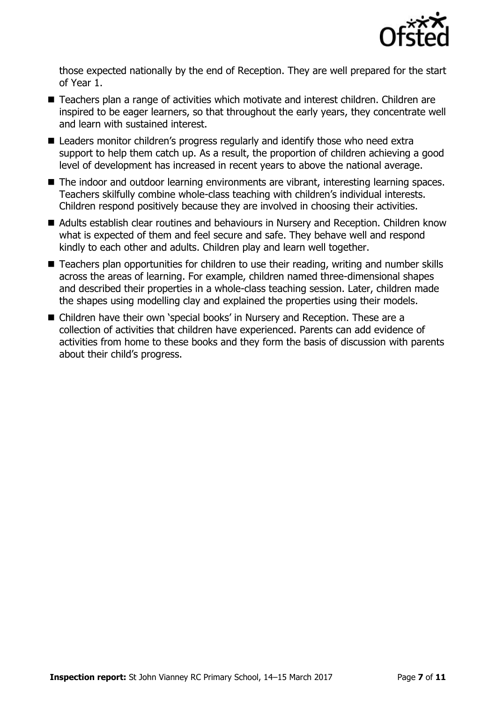

those expected nationally by the end of Reception. They are well prepared for the start of Year 1.

- Teachers plan a range of activities which motivate and interest children. Children are inspired to be eager learners, so that throughout the early years, they concentrate well and learn with sustained interest.
- Leaders monitor children's progress regularly and identify those who need extra support to help them catch up. As a result, the proportion of children achieving a good level of development has increased in recent years to above the national average.
- The indoor and outdoor learning environments are vibrant, interesting learning spaces. Teachers skilfully combine whole-class teaching with children's individual interests. Children respond positively because they are involved in choosing their activities.
- Adults establish clear routines and behaviours in Nursery and Reception. Children know what is expected of them and feel secure and safe. They behave well and respond kindly to each other and adults. Children play and learn well together.
- Teachers plan opportunities for children to use their reading, writing and number skills across the areas of learning. For example, children named three-dimensional shapes and described their properties in a whole-class teaching session. Later, children made the shapes using modelling clay and explained the properties using their models.
- Children have their own 'special books' in Nursery and Reception. These are a collection of activities that children have experienced. Parents can add evidence of activities from home to these books and they form the basis of discussion with parents about their child's progress.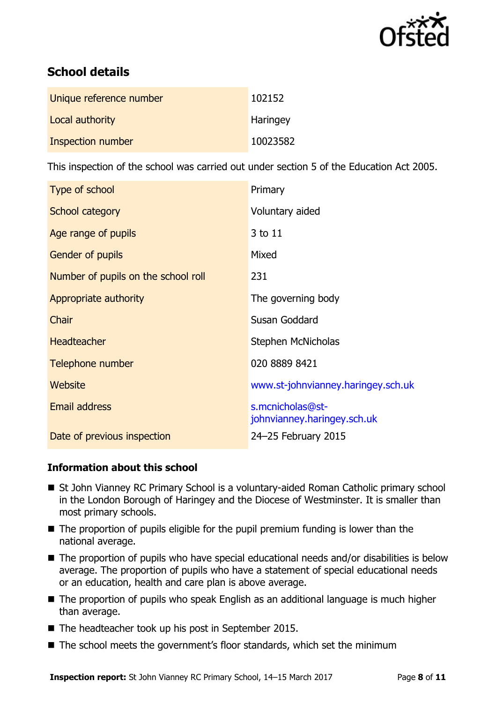

# **School details**

| Unique reference number | 102152   |
|-------------------------|----------|
| Local authority         | Haringey |
| Inspection number       | 10023582 |

This inspection of the school was carried out under section 5 of the Education Act 2005.

| Type of school                      | Primary                                         |
|-------------------------------------|-------------------------------------------------|
| School category                     | Voluntary aided                                 |
| Age range of pupils                 | 3 to 11                                         |
| Gender of pupils                    | Mixed                                           |
| Number of pupils on the school roll | 231                                             |
| Appropriate authority               | The governing body                              |
| Chair                               | Susan Goddard                                   |
| <b>Headteacher</b>                  | Stephen McNicholas                              |
| Telephone number                    | 020 8889 8421                                   |
| <b>Website</b>                      | www.st-johnvianney.haringey.sch.uk              |
| <b>Email address</b>                | s.mcnicholas@st-<br>johnvianney.haringey.sch.uk |
| Date of previous inspection         | 24-25 February 2015                             |

### **Information about this school**

- St John Vianney RC Primary School is a voluntary-aided Roman Catholic primary school in the London Borough of Haringey and the Diocese of Westminster. It is smaller than most primary schools.
- The proportion of pupils eligible for the pupil premium funding is lower than the national average.
- The proportion of pupils who have special educational needs and/or disabilities is below average. The proportion of pupils who have a statement of special educational needs or an education, health and care plan is above average.
- The proportion of pupils who speak English as an additional language is much higher than average.
- The headteacher took up his post in September 2015.
- The school meets the government's floor standards, which set the minimum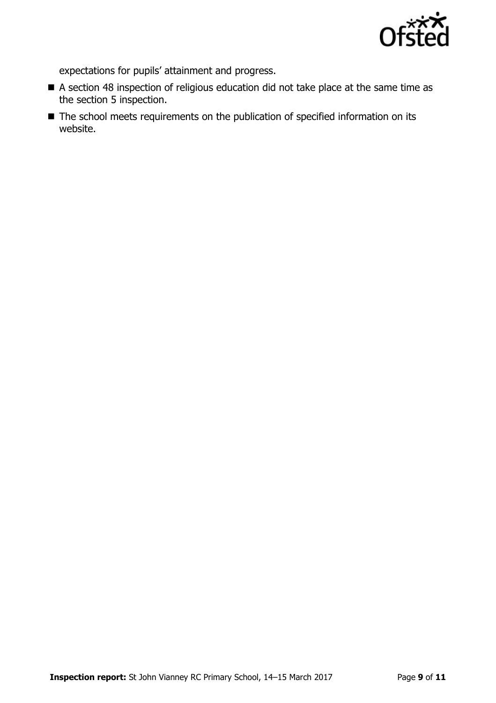

expectations for pupils' attainment and progress.

- A section 48 inspection of religious education did not take place at the same time as the section 5 inspection.
- The school meets requirements on the publication of specified information on its website.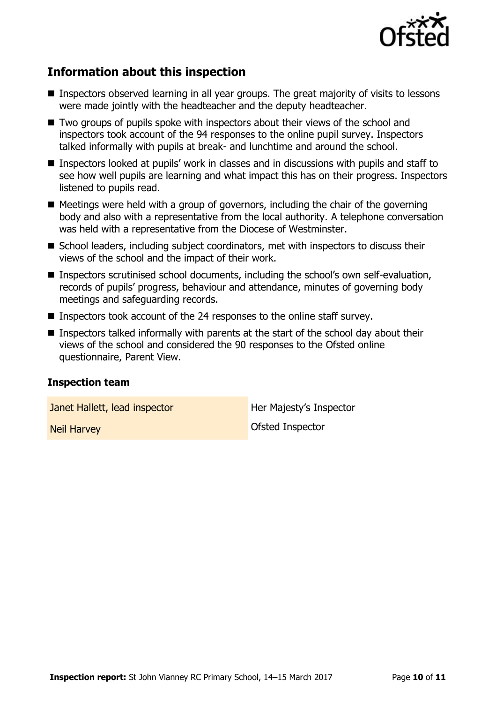

# **Information about this inspection**

- Inspectors observed learning in all year groups. The great majority of visits to lessons were made jointly with the headteacher and the deputy headteacher.
- Two groups of pupils spoke with inspectors about their views of the school and inspectors took account of the 94 responses to the online pupil survey. Inspectors talked informally with pupils at break- and lunchtime and around the school.
- Inspectors looked at pupils' work in classes and in discussions with pupils and staff to see how well pupils are learning and what impact this has on their progress. Inspectors listened to pupils read.
- $\blacksquare$  Meetings were held with a group of governors, including the chair of the governing body and also with a representative from the local authority. A telephone conversation was held with a representative from the Diocese of Westminster.
- School leaders, including subject coordinators, met with inspectors to discuss their views of the school and the impact of their work.
- **Inspectors scrutinised school documents, including the school's own self-evaluation,** records of pupils' progress, behaviour and attendance, minutes of governing body meetings and safeguarding records.
- Inspectors took account of the 24 responses to the online staff survey.
- Inspectors talked informally with parents at the start of the school day about their views of the school and considered the 90 responses to the Ofsted online questionnaire, Parent View.

### **Inspection team**

**Janet Hallett, lead inspector Figure 10 Her Majesty's Inspector** 

**Neil Harvey Construction Construction Construction Construction Construction Construction Construction Construction**